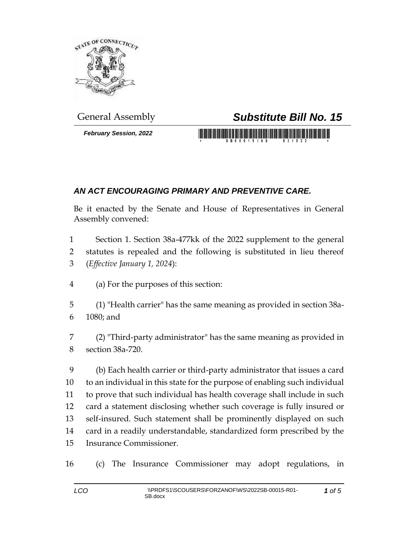

*February Session, 2022*

## General Assembly *Substitute Bill No. 15*

## <u> 1999 - Johann Maria Maria Maria Maria Maria Maria Maria Maria Maria Maria Maria Maria Maria Maria Maria Mari</u>

## *AN ACT ENCOURAGING PRIMARY AND PREVENTIVE CARE.*

Be it enacted by the Senate and House of Representatives in General Assembly convened:

 Section 1. Section 38a-477kk of the 2022 supplement to the general statutes is repealed and the following is substituted in lieu thereof (*Effective January 1, 2024*):

- (a) For the purposes of this section:
- (1) "Health carrier" has the same meaning as provided in section 38a-1080; and
- (2) "Third-party administrator" has the same meaning as provided in section 38a-720.

 (b) Each health carrier or third-party administrator that issues a card to an individual in this state for the purpose of enabling such individual to prove that such individual has health coverage shall include in such card a statement disclosing whether such coverage is fully insured or self-insured. Such statement shall be prominently displayed on such card in a readily understandable, standardized form prescribed by the Insurance Commissioner.

(c) The Insurance Commissioner may adopt regulations, in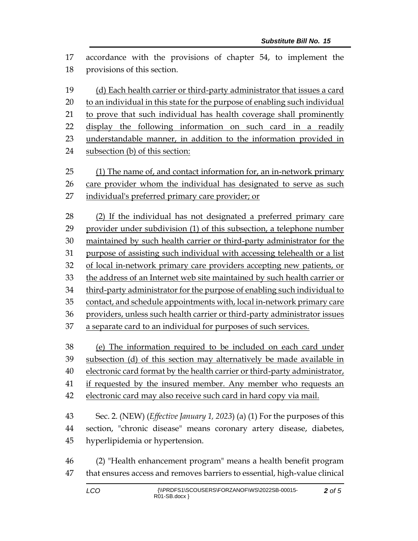accordance with the provisions of chapter 54, to implement the provisions of this section.

 (d) Each health carrier or third-party administrator that issues a card to an individual in this state for the purpose of enabling such individual 21 to prove that such individual has health coverage shall prominently display the following information on such card in a readily understandable manner, in addition to the information provided in subsection (b) of this section: (1) The name of, and contact information for, an in-network primary care provider whom the individual has designated to serve as such individual's preferred primary care provider; or

 (2) If the individual has not designated a preferred primary care provider under subdivision (1) of this subsection, a telephone number maintained by such health carrier or third-party administrator for the purpose of assisting such individual with accessing telehealth or a list of local in-network primary care providers accepting new patients, or the address of an Internet web site maintained by such health carrier or third-party administrator for the purpose of enabling such individual to contact, and schedule appointments with, local in-network primary care providers, unless such health carrier or third-party administrator issues a separate card to an individual for purposes of such services.

 (e) The information required to be included on each card under subsection (d) of this section may alternatively be made available in electronic card format by the health carrier or third-party administrator,

if requested by the insured member. Any member who requests an

electronic card may also receive such card in hard copy via mail.

 Sec. 2. (NEW) (*Effective January 1, 2023*) (a) (1) For the purposes of this section, "chronic disease" means coronary artery disease, diabetes, hyperlipidemia or hypertension.

 (2) "Health enhancement program" means a health benefit program that ensures access and removes barriers to essential, high-value clinical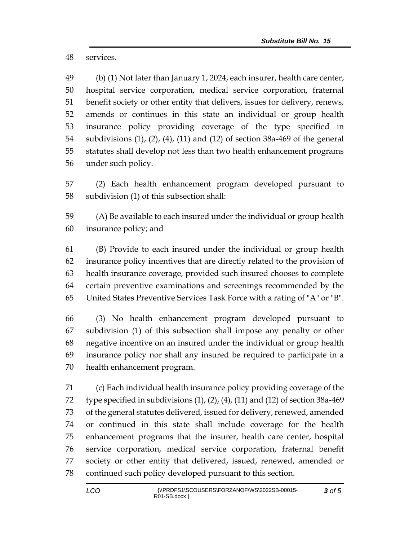services.

 (b) (1) Not later than January 1, 2024, each insurer, health care center, hospital service corporation, medical service corporation, fraternal benefit society or other entity that delivers, issues for delivery, renews, amends or continues in this state an individual or group health insurance policy providing coverage of the type specified in subdivisions (1), (2), (4), (11) and (12) of section 38a-469 of the general statutes shall develop not less than two health enhancement programs under such policy.

 (2) Each health enhancement program developed pursuant to subdivision (1) of this subsection shall:

 (A) Be available to each insured under the individual or group health insurance policy; and

 (B) Provide to each insured under the individual or group health insurance policy incentives that are directly related to the provision of health insurance coverage, provided such insured chooses to complete certain preventive examinations and screenings recommended by the United States Preventive Services Task Force with a rating of "A" or "B".

 (3) No health enhancement program developed pursuant to subdivision (1) of this subsection shall impose any penalty or other negative incentive on an insured under the individual or group health insurance policy nor shall any insured be required to participate in a health enhancement program.

 (c) Each individual health insurance policy providing coverage of the type specified in subdivisions (1), (2), (4), (11) and (12) of section 38a-469 of the general statutes delivered, issued for delivery, renewed, amended or continued in this state shall include coverage for the health enhancement programs that the insurer, health care center, hospital service corporation, medical service corporation, fraternal benefit society or other entity that delivered, issued, renewed, amended or continued such policy developed pursuant to this section.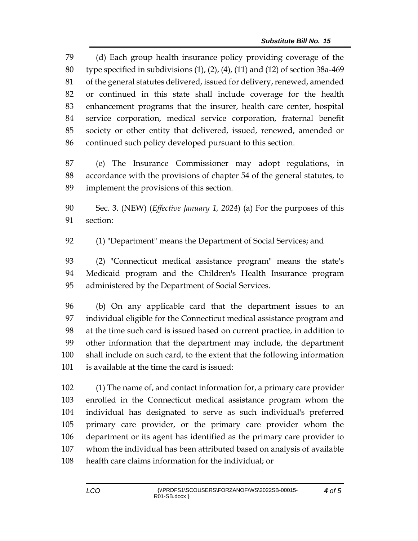(d) Each group health insurance policy providing coverage of the type specified in subdivisions (1), (2), (4), (11) and (12) of section 38a-469 of the general statutes delivered, issued for delivery, renewed, amended or continued in this state shall include coverage for the health enhancement programs that the insurer, health care center, hospital service corporation, medical service corporation, fraternal benefit society or other entity that delivered, issued, renewed, amended or continued such policy developed pursuant to this section.

 (e) The Insurance Commissioner may adopt regulations, in accordance with the provisions of chapter 54 of the general statutes, to implement the provisions of this section.

 Sec. 3. (NEW) (*Effective January 1, 2024*) (a) For the purposes of this section:

(1) "Department" means the Department of Social Services; and

 (2) "Connecticut medical assistance program" means the state's Medicaid program and the Children's Health Insurance program administered by the Department of Social Services.

 (b) On any applicable card that the department issues to an individual eligible for the Connecticut medical assistance program and at the time such card is issued based on current practice, in addition to other information that the department may include, the department shall include on such card, to the extent that the following information is available at the time the card is issued:

 (1) The name of, and contact information for, a primary care provider enrolled in the Connecticut medical assistance program whom the individual has designated to serve as such individual's preferred primary care provider, or the primary care provider whom the department or its agent has identified as the primary care provider to whom the individual has been attributed based on analysis of available health care claims information for the individual; or